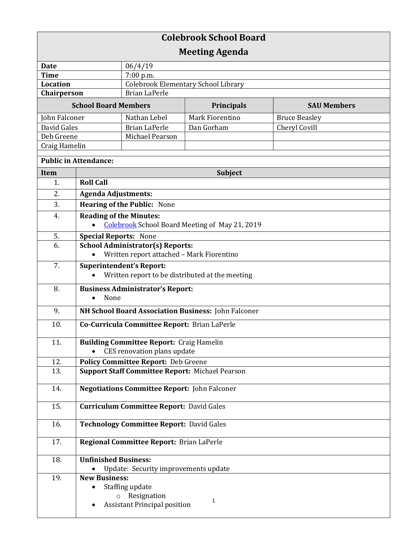| <b>Colebrook School Board</b> |                                                        |                                            |                   |                      |  |
|-------------------------------|--------------------------------------------------------|--------------------------------------------|-------------------|----------------------|--|
| <b>Meeting Agenda</b>         |                                                        |                                            |                   |                      |  |
| <b>Date</b>                   |                                                        | 06/4/19                                    |                   |                      |  |
| <b>Time</b>                   |                                                        | 7:00 p.m.                                  |                   |                      |  |
| Location                      |                                                        | <b>Colebrook Elementary School Library</b> |                   |                      |  |
| Chairperson                   |                                                        | <b>Brian LaPerle</b>                       |                   |                      |  |
| <b>School Board Members</b>   |                                                        |                                            | <b>Principals</b> | <b>SAU Members</b>   |  |
| John Falconer                 |                                                        | Nathan Lebel                               | Mark Fiorentino   | <b>Bruce Beasley</b> |  |
| David Gales                   |                                                        | <b>Brian LaPerle</b>                       | Dan Gorham        | Cheryl Covill        |  |
| Deb Greene                    |                                                        | Michael Pearson                            |                   |                      |  |
| Craig Hamelin                 |                                                        |                                            |                   |                      |  |
| <b>Public in Attendance:</b>  |                                                        |                                            |                   |                      |  |
| <b>Item</b>                   |                                                        | <b>Subject</b>                             |                   |                      |  |
| 1.                            | <b>Roll Call</b>                                       |                                            |                   |                      |  |
| 2.                            | <b>Agenda Adjustments:</b>                             |                                            |                   |                      |  |
| 3.                            | <b>Hearing of the Public: None</b>                     |                                            |                   |                      |  |
| 4.                            | <b>Reading of the Minutes:</b>                         |                                            |                   |                      |  |
|                               | <b>Colebrook</b> School Board Meeting of May 21, 2019  |                                            |                   |                      |  |
| 5.                            | <b>Special Reports: None</b>                           |                                            |                   |                      |  |
| 6.                            | <b>School Administrator(s) Reports:</b>                |                                            |                   |                      |  |
|                               | Written report attached - Mark Fiorentino              |                                            |                   |                      |  |
| 7.                            | <b>Superintendent's Report:</b>                        |                                            |                   |                      |  |
|                               | Written report to be distributed at the meeting        |                                            |                   |                      |  |
| 8.                            |                                                        | <b>Business Administrator's Report:</b>    |                   |                      |  |
|                               | None<br>$\bullet$                                      |                                            |                   |                      |  |
| 9.                            | NH School Board Association Business: John Falconer    |                                            |                   |                      |  |
| 10.                           | Co-Curricula Committee Report: Brian LaPerle           |                                            |                   |                      |  |
| 11.                           | <b>Building Committee Report: Craig Hamelin</b>        |                                            |                   |                      |  |
|                               | CES renovation plans update                            |                                            |                   |                      |  |
| 12.                           | <b>Policy Committee Report: Deb Greene</b>             |                                            |                   |                      |  |
| 13.                           | <b>Support Staff Committee Report: Michael Pearson</b> |                                            |                   |                      |  |
| 14.                           | <b>Negotiations Committee Report: John Falconer</b>    |                                            |                   |                      |  |
| 15.                           | <b>Curriculum Committee Report: David Gales</b>        |                                            |                   |                      |  |
| 16.                           | <b>Technology Committee Report: David Gales</b>        |                                            |                   |                      |  |
| 17.                           | Regional Committee Report: Brian LaPerle               |                                            |                   |                      |  |
| 18.                           | <b>Unfinished Business:</b>                            |                                            |                   |                      |  |
|                               |                                                        | Update: Security improvements update       |                   |                      |  |
| 19.                           | <b>New Business:</b>                                   |                                            |                   |                      |  |
|                               |                                                        | Staffing update                            |                   |                      |  |
|                               |                                                        | o Resignation                              | 1                 |                      |  |
|                               |                                                        | <b>Assistant Principal position</b>        |                   |                      |  |